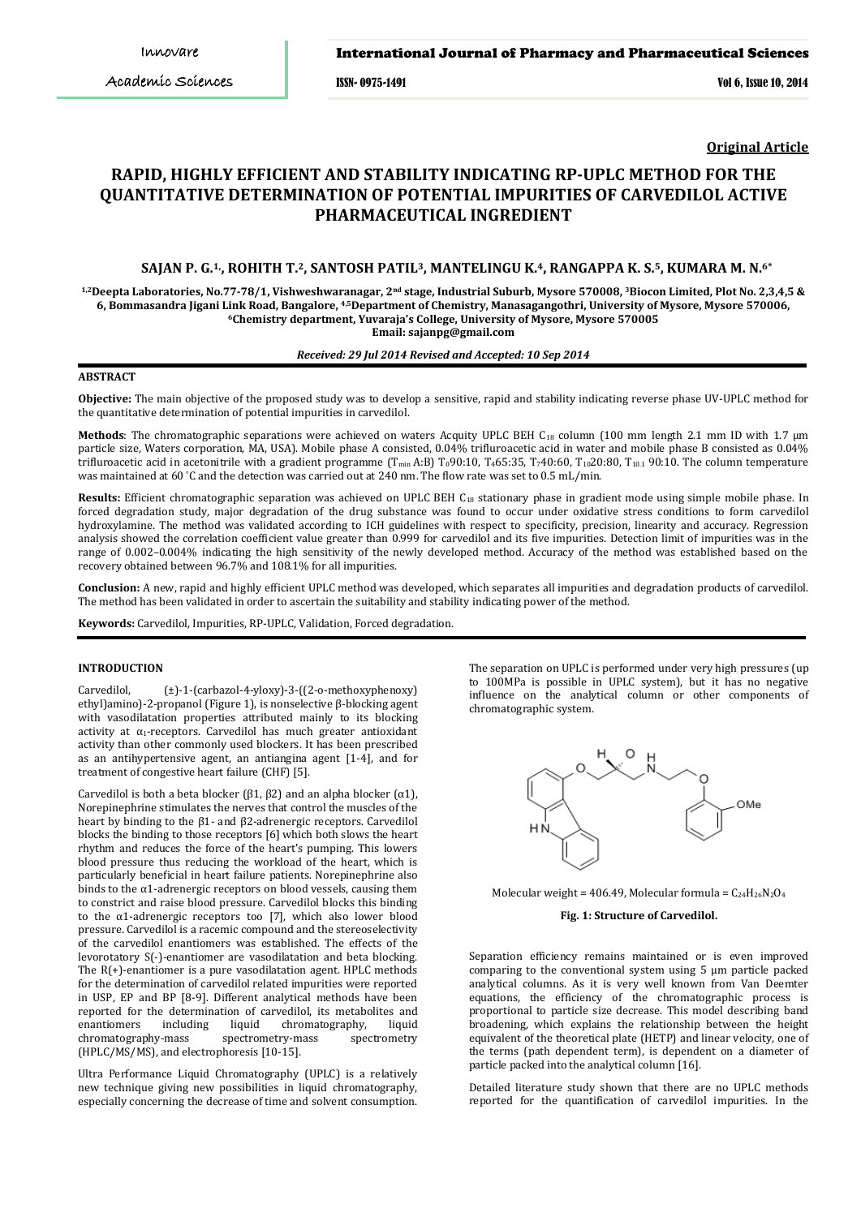ISSN- 0975-1491 Vol 6, Issue 10, 2014

**Original Article**

# **RAPID, HIGHLY EFFICIENT AND STABILITY INDICATING RP-UPLC METHOD FOR THE QUANTITATIVE DETERMINATION OF POTENTIAL IMPURITIES OF CARVEDILOL ACTIVE PHARMACEUTICAL INGREDIENT**

### **SAJAN P. G.1,, ROHITH T.2, SANTOSH PATIL3, MANTELINGU K.4, RANGAPPA K. S.5, KUMARA M. N.6\***

**1,2Deepta Laboratories, No.77-78/1, Vishweshwaranagar, 2nd stage, Industrial Suburb, Mysore 570008, <sup>3</sup>Biocon Limited, Plot No. 2,3,4,5 & 6, Bommasandra Jigani Link Road, Bangalore, 4,5Department of Chemistry, Manasagangothri, University of Mysore, Mysore 570006, <sup>6</sup>Chemistry department, Yuvaraja's College, University of Mysore, Mysore 570005 Email: sajanpg@gmail.com**

#### *Received: 29 Jul 2014 Revised and Accepted: 10 Sep 2014*

# **ABSTRACT**

**Objective:** The main objective of the proposed study was to develop a sensitive, rapid and stability indicating reverse phase UV-UPLC method for the quantitative determination of potential impurities in carvedilol.

**Methods**: The chromatographic separations were achieved on waters Acquity UPLC BEH C<sup>18</sup> column (100 mm length 2.1 mm ID with 1.7 µm particle size, Waters corporation, MA, USA). Mobile phase A consisted, 0.04% trifluroacetic acid in water and mobile phase B consisted as 0.04% trifluroacetic acid in acetonitrile with a gradient programme  $(T_{min} A:B) T_090:10$ ,  $T_465:35$ ,  $T_740:60$ ,  $T_{10}20:80$ ,  $T_{10.1}$  90:10. The column temperature was maintained at 60 °C and the detection was carried out at 240 nm. The flow rate was set to 0.5 mL/min.

Results: Efficient chromatographic separation was achieved on UPLC BEH C<sub>18</sub> stationary phase in gradient mode using simple mobile phase. In forced degradation study, major degradation of the drug substance was found to occur under oxidative stress conditions to form carvedilol hydroxylamine. The method was validated according to ICH guidelines with respect to specificity, precision, linearity and accuracy. Regression analysis showed the correlation coefficient value greater than 0.999 for carvedilol and its five impurities. Detection limit of impurities was in the range of 0.002–0.004% indicating the high sensitivity of the newly developed method. Accuracy of the method was established based on the recovery obtained between 96.7% and 108.1% for all impurities.

**Conclusion:** A new, rapid and highly efficient UPLC method was developed, which separates all impurities and degradation products of carvedilol. The method has been validated in order to ascertain the suitability and stability indicating power of the method.

**Keywords:** Carvedilol, Impurities, RP-UPLC, Validation, Forced degradation.

#### **INTRODUCTION**

Carvedilol, (±)-1-(carbazol-4-yloxy)-3-((2-o-methoxyphenoxy) ethyl)amino)-2-propanol (Figure 1), is nonselective β-blocking agent with vasodilatation properties attributed mainly to its blocking activity at  $\alpha_1$ -receptors. Carvedilol has much greater antioxidant activity than other commonly used blockers. It has been prescribed as an antihypertensive agent, an antiangina agent [1-4], and for treatment of congestive heart failure (CHF) [5].

Carvedilol is both a beta blocker (β1, β2) and an alpha blocker (α1), Norepinephrine stimulates the nerves that control the muscles of the heart by binding to the β1- and β2-adrenergic receptors. Carvedilol blocks the binding to those receptors [6] which both slows the heart rhythm and reduces the force of the heart's pumping. This lowers blood pressure thus reducing the workload of the heart, which is particularly beneficial in heart failure patients. Norepinephrine also binds to the α1-adrenergic receptors on blood vessels, causing them to constrict and raise blood pressure. Carvedilol blocks this binding to the α1-adrenergic receptors too [7], which also lower blood pressure. Carvedilol is a racemic compound and the stereoselectivity of the carvedilol enantiomers was established. The effects of the levorotatory S(-)-enantiomer are vasodilatation and beta blocking. The R(+)-enantiomer is a pure vasodilatation agent. HPLC methods for the determination of carvedilol related impurities were reported in USP, EP and BP [8-9]. Different analytical methods have been reported for the determination of carvedilol, its metabolites and enantiomers including liquid chromatography, liquid chromatography-mass spectrometry-mass spectrometry (HPLC/MS/MS), and electrophoresis [10-15].

Ultra Performance Liquid Chromatography (UPLC) is a relatively new technique giving new possibilities in liquid chromatography, especially concerning the decrease of time and solvent consumption.

The separation on UPLC is performed under very high pressures (up to 100MPa is possible in UPLC system), but it has no negative influence on the analytical column or other components of chromatographic system.



Molecular weight = 406.49, Molecular formula =  $C_{24}H_{26}N_2O_4$ 

#### **Fig. 1: Structure of Carvedilol.**

Separation efficiency remains maintained or is even improved comparing to the conventional system using 5 µm particle packed analytical columns. As it is very well known from Van Deemter equations, the efficiency of the chromatographic process is proportional to particle size decrease. This model describing band broadening, which explains the relationship between the height equivalent of the theoretical plate (HETP) and linear velocity, one of the terms (path dependent term), is dependent on a diameter of particle packed into the analytical column [16].

Detailed literature study shown that there are no UPLC methods reported for the quantification of carvedilol impurities. In the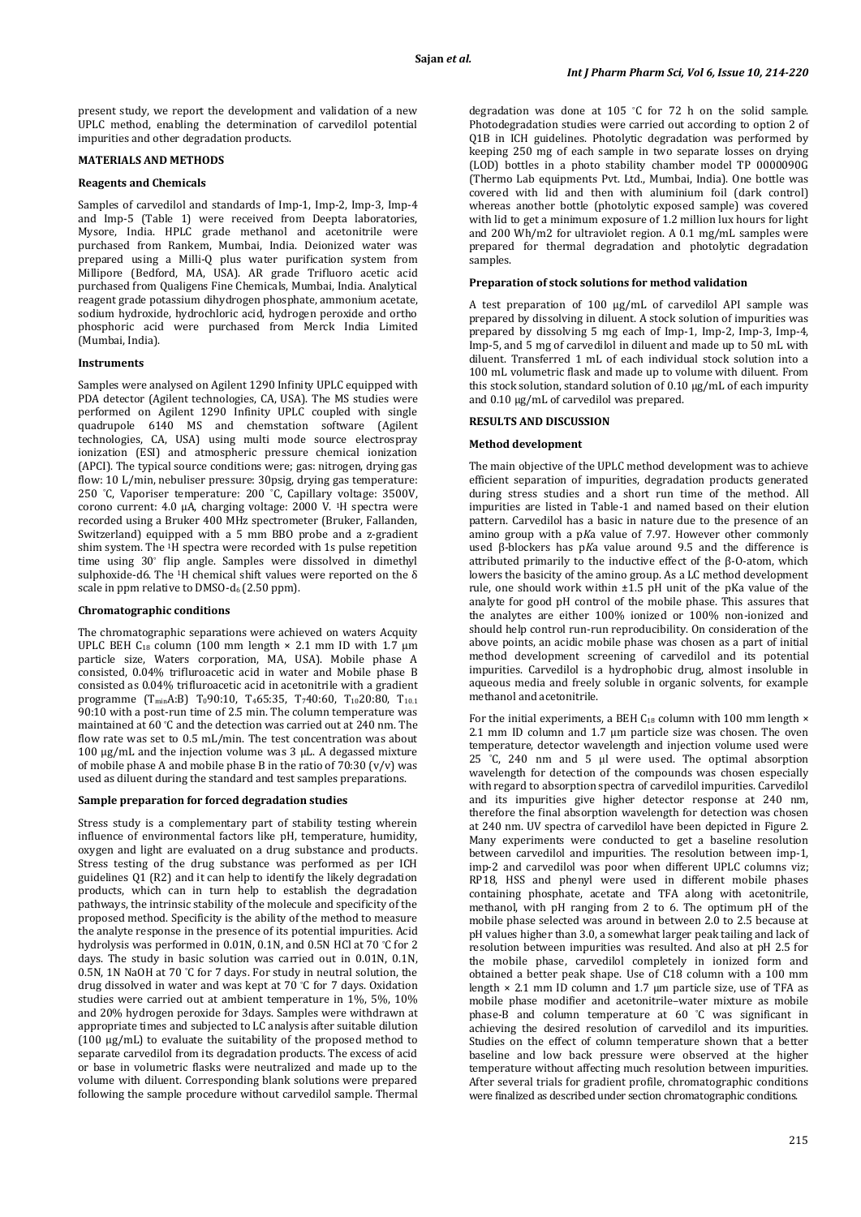present study, we report the development and validation of a new UPLC method, enabling the determination of carvedilol potential impurities and other degradation products.

### **MATERIALS AND METHODS**

# **Reagents and Chemicals**

Samples of carvedilol and standards of Imp-1, Imp-2, Imp-3, Imp-4 and Imp-5 (Table 1) were received from Deepta laboratories, Mysore, India. HPLC grade methanol and acetonitrile were purchased from Rankem, Mumbai, India. Deionized water was prepared using a Milli-Q plus water purification system from Millipore (Bedford, MA, USA). AR grade Trifluoro acetic acid purchased from Qualigens Fine Chemicals, Mumbai, India. Analytical reagent grade potassium dihydrogen phosphate, ammonium acetate, sodium hydroxide, hydrochloric acid, hydrogen peroxide and ortho phosphoric acid were purchased from Merck India Limited (Mumbai, India).

#### **Instruments**

Samples were analysed on Agilent 1290 Infinity UPLC equipped with PDA detector (Agilent technologies, CA, USA). The MS studies were performed on Agilent 1290 Infinity UPLC coupled with single quadrupole 6140 MS and chemstation software (Agilent technologies, CA, USA) using multi mode source electrospray ionization (ESI) and atmospheric pressure chemical ionization (APCI). The typical source conditions were; gas: nitrogen, drying gas flow: 10 L/min, nebuliser pressure: 30psig, drying gas temperature: 250 °C, Vaporiser temperature: 200 °C, Capillary voltage: 3500V, corono current: 4.0 µA, charging voltage: 2000 V. <sup>1</sup>H spectra were recorded using a Bruker 400 MHz spectrometer (Bruker, Fallanden, Switzerland) equipped with a 5 mm BBO probe and a z-gradient shim system. The 1H spectra were recorded with 1s pulse repetition time using 30° flip angle. Samples were dissolved in dimethyl sulphoxide-d6. The <sup>1</sup>H chemical shift values were reported on the  $\delta$ scale in ppm relative to DMSO-d<sub>6</sub> (2.50 ppm).

#### **Chromatographic conditions**

The chromatographic separations were achieved on waters Acquity UPLC BEH C<sub>18</sub> column (100 mm length  $\times$  2.1 mm ID with 1.7 µm particle size, Waters corporation, MA, USA). Mobile phase A consisted, 0.04% trifluroacetic acid in water and Mobile phase B consisted as 0.04% trifluroacetic acid in acetonitrile with a gradient programme (T<sub>min</sub>A:B) T<sub>0</sub>90:10, T<sub>4</sub>65:35, T<sub>7</sub>40:60, T<sub>10</sub>20:80, T<sub>10.1</sub> 90:10 with a post-run time of 2.5 min. The column temperature was maintained at 60 °C and the detection was carried out at 240 nm. The flow rate was set to 0.5 mL/min. The test concentration was about 100 µg/mL and the injection volume was 3 µL. A degassed mixture of mobile phase A and mobile phase B in the ratio of  $70:30 \frac{\text{v}}{\text{v}}$  was used as diluent during the standard and test samples preparations.

#### **Sample preparation for forced degradation studies**

Stress study is a complementary part of stability testing wherein influence of environmental factors like pH, temperature, humidity, oxygen and light are evaluated on a drug substance and products. Stress testing of the drug substance was performed as per ICH guidelines  $Q_1(R_2)$  and it can help to identify the likely degradation products, which can in turn help to establish the degradation pathways, the intrinsic stability of the molecule and specificity of the proposed method. Specificity is the ability of the method to measure the analyte response in the presence of its potential impurities. Acid hydrolysis was performed in 0.01N, 0.1N, and 0.5N HCl at 70 °C for 2 days. The study in basic solution was carried out in 0.01N, 0.1N, 0.5N, 1N NaOH at 70 °C for 7 days. For study in neutral solution, the drug dissolved in water and was kept at 70 °C for 7 days. Oxidation studies were carried out at ambient temperature in 1%, 5%, 10% and 20% hydrogen peroxide for 3days. Samples were withdrawn at appropriate times and subjected to LC analysis after suitable dilution (100 µg/mL) to evaluate the suitability of the proposed method to separate carvedilol from its degradation products. The excess of acid or base in volumetric flasks were neutralized and made up to the volume with diluent. Corresponding blank solutions were prepared following the sample procedure without carvedilol sample. Thermal

degradation was done at 105 °C for 72 h on the solid sample. Photodegradation studies were carried out according to option 2 of Q1B in ICH guidelines. Photolytic degradation was performed by keeping 250 mg of each sample in two separate losses on drying (LOD) bottles in a photo stability chamber model TP 0000090G (Thermo Lab equipments Pvt. Ltd., Mumbai, India). One bottle was covered with lid and then with aluminium foil (dark control) whereas another bottle (photolytic exposed sample) was covered with lid to get a minimum exposure of 1.2 million lux hours for light and 200 Wh/m2 for ultraviolet region. A 0.1 mg/mL samples were prepared for thermal degradation and photolytic degradation samples.

#### **Preparation of stock solutions for method validation**

A test preparation of 100 µg/mL of carvedilol API sample was prepared by dissolving in diluent. A stock solution of impurities was prepared by dissolving 5 mg each of Imp-1, Imp-2, Imp-3, Imp-4, Imp-5, and 5 mg of carvedilol in diluent and made up to 50 mL with diluent. Transferred 1 mL of each individual stock solution into a 100 mL volumetric flask and made up to volume with diluent. From this stock solution, standard solution of 0.10 µg/mL of each impurity and 0.10 µg/mL of carvedilol was prepared.

# **RESULTS AND DISCUSSION**

#### **Method development**

The main objective of the UPLC method development was to achieve efficient separation of impurities, degradation products generated during stress studies and a short run time of the method. All impurities are listed in Table-1 and named based on their elution pattern. Carvedilol has a basic in nature due to the presence of an amino group with a p*K*a value of 7.97. However other commonly used β-blockers has p*K*a value around 9.5 and the difference is attributed primarily to the inductive effect of the β-O-atom, which lowers the basicity of the amino group. As a LC method development rule, one should work within ±1.5 pH unit of the pKa value of the analyte for good pH control of the mobile phase. This assures that the analytes are either 100% ionized or 100% non-ionized and should help control run-run reproducibility. On consideration of the above points, an acidic mobile phase was chosen as a part of initial method development screening of carvedilol and its potential impurities. Carvedilol is a hydrophobic drug, almost insoluble in aqueous media and freely soluble in organic solvents, for example methanol and acetonitrile.

For the initial experiments, a BEH C<sub>18</sub> column with 100 mm length  $\times$ 2.1 mm ID column and 1.7 µm particle size was chosen. The oven temperature, detector wavelength and injection volume used were 25 °C, 240 nm and 5 µl were used. The optimal absorption wavelength for detection of the compounds was chosen especially with regard to absorption spectra of carvedilol impurities. Carvedilol and its impurities give higher detector response at 240 nm, therefore the final absorption wavelength for detection was chosen at 240 nm. UV spectra of carvedilol have been depicted in Figure 2. Many experiments were conducted to get a baseline resolution between carvedilol and impurities. The resolution between imp-1, imp-2 and carvedilol was poor when different UPLC columns viz; RP18, HSS and phenyl were used in different mobile phases containing phosphate, acetate and TFA along with acetonitrile, methanol, with pH ranging from 2 to 6. The optimum pH of the mobile phase selected was around in between 2.0 to 2.5 because at pH values higher than 3.0, a somewhat larger peak tailing and lack of resolution between impurities was resulted. And also at pH 2.5 for the mobile phase, carvedilol completely in ionized form and obtained a better peak shape. Use of C18 column with a 100 mm length × 2.1 mm ID column and 1.7 µm particle size, use of TFA as mobile phase modifier and acetonitrile–water mixture as mobile phase-B and column temperature at 60 °C was significant in achieving the desired resolution of carvedilol and its impurities. Studies on the effect of column temperature shown that a better baseline and low back pressure were observed at the higher temperature without affecting much resolution between impurities. After several trials for gradient profile, chromatographic conditions were finalized as described under section chromatographic conditions.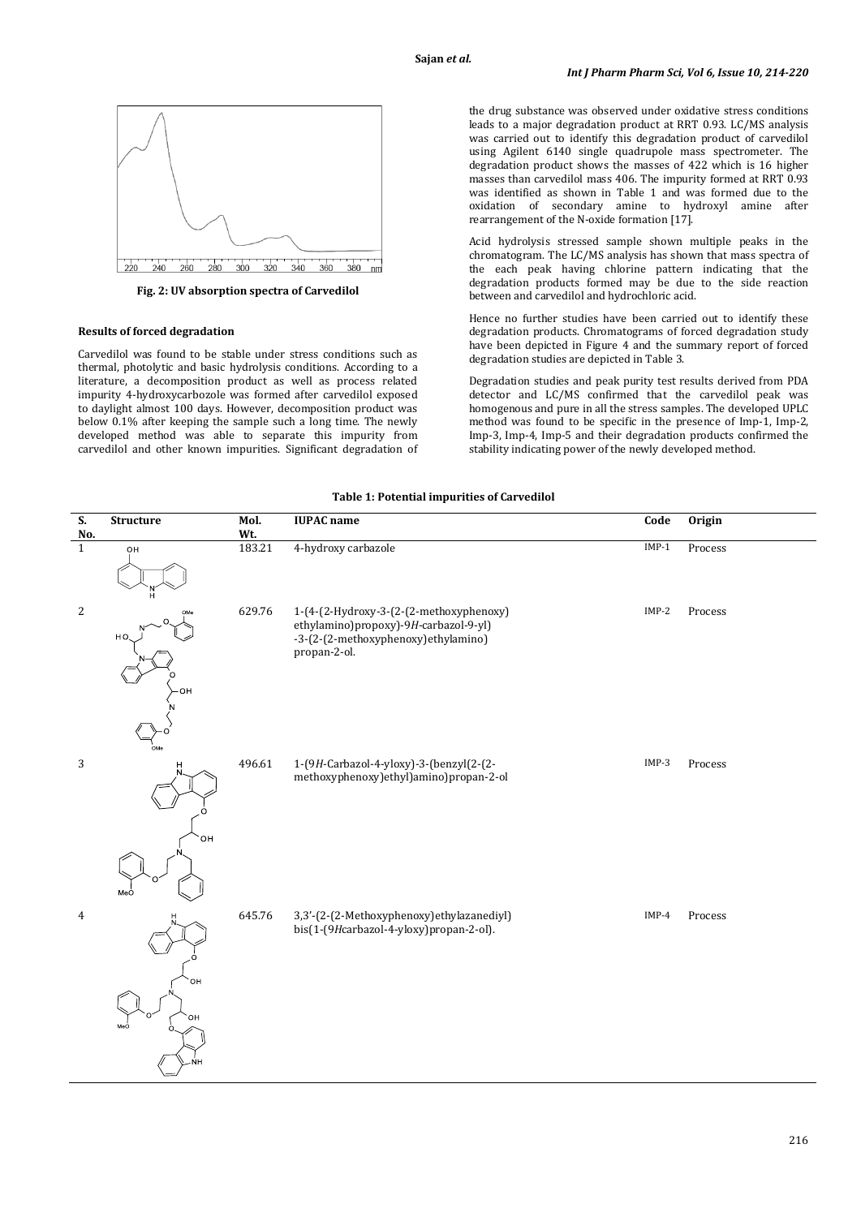

**Fig. 2: UV absorption spectra of Carvedilol**

#### **Results of forced degradation**

Carvedilol was found to be stable under stress conditions such as thermal, photolytic and basic hydrolysis conditions. According to a literature, a decomposition product as well as process related impurity 4-hydroxycarbozole was formed after carvedilol exposed to daylight almost 100 days. However, decomposition product was below 0.1% after keeping the sample such a long time. The newly developed method was able to separate this impurity from carvedilol and other known impurities. Significant degradation of

the drug substance was observed under oxidative stress conditions leads to a major degradation product at RRT 0.93. LC/MS analysis was carried out to identify this degradation product of carvedilol using Agilent 6140 single quadrupole mass spectrometer. The degradation product shows the masses of 422 which is 16 higher masses than carvedilol mass 406. The impurity formed at RRT 0.93 was identified as shown in Table 1 and was formed due to the oxidation of secondary amine to hydroxyl amine after rearrangement of the N-oxide formation [17].

Acid hydrolysis stressed sample shown multiple peaks in the chromatogram. The LC/MS analysis has shown that mass spectra of the each peak having chlorine pattern indicating that the degradation products formed may be due to the side reaction between and carvedilol and hydrochloric acid.

Hence no further studies have been carried out to identify these degradation products. Chromatograms of forced degradation study have been depicted in Figure 4 and the summary report of forced degradation studies are depicted in Table 3.

Degradation studies and peak purity test results derived from PDA detector and LC/MS confirmed that the carvedilol peak was homogenous and pure in all the stress samples. The developed UPLC method was found to be specific in the presence of Imp-1, Imp-2, Imp-3, Imp-4, Imp-5 and their degradation products confirmed the stability indicating power of the newly developed method.

| <b>Table 1: Potential impurities of Carvedilol</b> |  |  |
|----------------------------------------------------|--|--|
|----------------------------------------------------|--|--|

| $\overline{\mathsf{S}}$ .<br>No. | Structure       | Mol.<br>Wt. | <b>IUPAC</b> name                                                                                                                       | Code    | <b>Origin</b> |
|----------------------------------|-----------------|-------------|-----------------------------------------------------------------------------------------------------------------------------------------|---------|---------------|
| $\mathbf{1}$                     | OH              | 183.21      | 4-hydroxy carbazole                                                                                                                     | $IMP-1$ | Process       |
| $\overline{c}$                   | HO<br>OН        | 629.76      | 1-(4-(2-Hydroxy-3-(2-(2-methoxyphenoxy)<br>ethylamino)propoxy)-9H-carbazol-9-yl)<br>-3-(2-(2-methoxyphenoxy)ethylamino)<br>propan-2-ol. | $IMP-2$ | Process       |
| 3                                | OH<br>MeO       | 496.61      | 1-(9H-Carbazol-4-yloxy)-3-(benzyl(2-(2-<br>methoxyphenoxy)ethyl)amino)propan-2-ol                                                       | $IMP-3$ | Process       |
| 4                                | OН<br>OH<br>MeO | 645.76      | 3,3'-(2-(2-Methoxyphenoxy)ethylazanediyl)<br>bis(1-(9Hcarbazol-4-yloxy)propan-2-ol).                                                    | $IMP-4$ | Process       |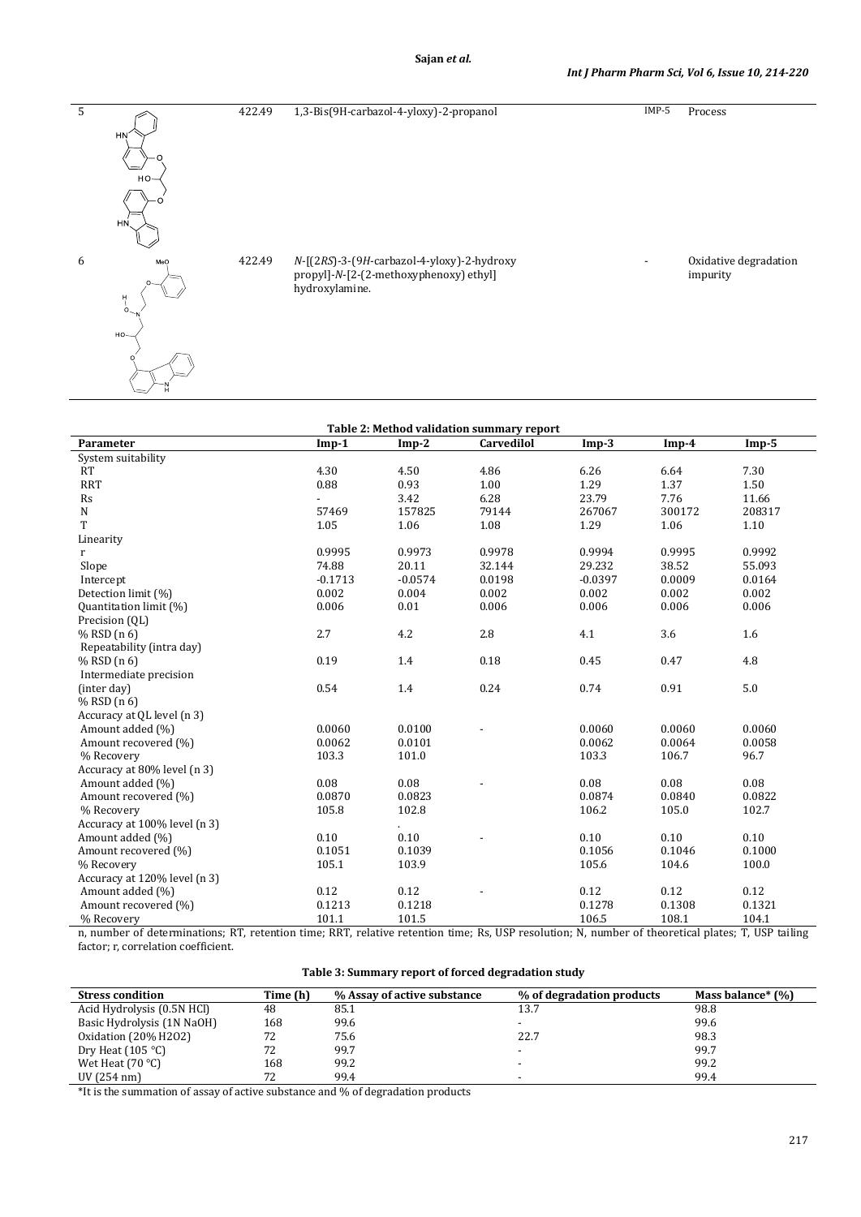

| Table 2: Method validation summary report                                                                                                          |           |           |            |           |         |         |
|----------------------------------------------------------------------------------------------------------------------------------------------------|-----------|-----------|------------|-----------|---------|---------|
| Parameter                                                                                                                                          | $Imp-1$   | $Imp-2$   | Carvedilol | $Imp-3$   | $Imp-4$ | $Imp-5$ |
| System suitability                                                                                                                                 |           |           |            |           |         |         |
| RT                                                                                                                                                 | 4.30      | 4.50      | 4.86       | 6.26      | 6.64    | 7.30    |
| <b>RRT</b>                                                                                                                                         | 0.88      | 0.93      | 1.00       | 1.29      | 1.37    | 1.50    |
| Rs                                                                                                                                                 |           | 3.42      | 6.28       | 23.79     | 7.76    | 11.66   |
| N                                                                                                                                                  | 57469     | 157825    | 79144      | 267067    | 300172  | 208317  |
| T                                                                                                                                                  | 1.05      | 1.06      | 1.08       | 1.29      | 1.06    | 1.10    |
| Linearity                                                                                                                                          |           |           |            |           |         |         |
| r                                                                                                                                                  | 0.9995    | 0.9973    | 0.9978     | 0.9994    | 0.9995  | 0.9992  |
| Slope                                                                                                                                              | 74.88     | 20.11     | 32.144     | 29.232    | 38.52   | 55.093  |
| Intercept                                                                                                                                          | $-0.1713$ | $-0.0574$ | 0.0198     | $-0.0397$ | 0.0009  | 0.0164  |
| Detection limit (%)                                                                                                                                | 0.002     | 0.004     | 0.002      | 0.002     | 0.002   | 0.002   |
| Quantitation limit (%)                                                                                                                             | 0.006     | 0.01      | 0.006      | 0.006     | 0.006   | 0.006   |
| Precision (QL)                                                                                                                                     |           |           |            |           |         |         |
| $%$ RSD $(n 6)$                                                                                                                                    | 2.7       | 4.2       | 2.8        | 4.1       | 3.6     | 1.6     |
| Repeatability (intra day)                                                                                                                          |           |           |            |           |         |         |
| $%$ RSD $(n 6)$                                                                                                                                    | 0.19      | 1.4       | 0.18       | 0.45      | 0.47    | 4.8     |
| Intermediate precision                                                                                                                             |           |           |            |           |         |         |
| (inter day)                                                                                                                                        | 0.54      | 1.4       | 0.24       | 0.74      | 0.91    | 5.0     |
| $%$ RSD $(n 6)$                                                                                                                                    |           |           |            |           |         |         |
| Accuracy at QL level (n 3)                                                                                                                         |           |           |            |           |         |         |
| Amount added (%)                                                                                                                                   | 0.0060    | 0.0100    |            | 0.0060    | 0.0060  | 0.0060  |
| Amount recovered (%)                                                                                                                               | 0.0062    | 0.0101    |            | 0.0062    | 0.0064  | 0.0058  |
| % Recovery                                                                                                                                         | 103.3     | 101.0     |            | 103.3     | 106.7   | 96.7    |
| Accuracy at 80% level (n 3)                                                                                                                        |           |           |            |           |         |         |
| Amount added (%)                                                                                                                                   | 0.08      | 0.08      |            | 0.08      | 0.08    | 0.08    |
| Amount recovered (%)                                                                                                                               | 0.0870    | 0.0823    |            | 0.0874    | 0.0840  | 0.0822  |
| % Recovery                                                                                                                                         | 105.8     | 102.8     |            | 106.2     | 105.0   | 102.7   |
| Accuracy at 100% level (n 3)                                                                                                                       |           |           |            |           |         |         |
| Amount added (%)                                                                                                                                   | 0.10      | 0.10      |            | 0.10      | 0.10    | 0.10    |
| Amount recovered (%)                                                                                                                               | 0.1051    | 0.1039    |            | 0.1056    | 0.1046  | 0.1000  |
| % Recovery                                                                                                                                         | 105.1     | 103.9     |            | 105.6     | 104.6   | 100.0   |
| Accuracy at 120% level (n 3)                                                                                                                       |           |           |            |           |         |         |
| Amount added (%)                                                                                                                                   | 0.12      | 0.12      |            | 0.12      | 0.12    | 0.12    |
| Amount recovered (%)                                                                                                                               | 0.1213    | 0.1218    |            | 0.1278    | 0.1308  | 0.1321  |
| % Recovery                                                                                                                                         | 101.1     | 101.5     |            | 106.5     | 108.1   | 104.1   |
| n, number of determinations; RT, retention time; RRT, relative retention time; Rs, USP resolution; N, number of theoretical plates; T, USP tailing |           |           |            |           |         |         |

factor; r, correlation coefficient.

| Table 3: Summary report of forced degradation study |  |  |
|-----------------------------------------------------|--|--|
|                                                     |  |  |

| <b>Stress condition</b>    | Time (h) | % Assay of active substance | % of degradation products | Mass balance* (%) |
|----------------------------|----------|-----------------------------|---------------------------|-------------------|
| Acid Hydrolysis (0.5N HCl) | 48       | 85.1                        | 13.7                      | 98.8              |
| Basic Hydrolysis (1N NaOH) | 168      | 99.6                        |                           | 99.6              |
| Oxidation (20% H2O2)       | 72       | 75.6                        | 22.7                      | 98.3              |
| Dry Heat $(105 °C)$        | 72       | 99.7                        |                           | 99.7              |
| Wet Heat $(70 °C)$         | 168      | 99.2                        |                           | 99.2              |
| UV $(254 \text{ nm})$      | 72       | 99.4                        |                           | 99.4              |

\*It is the summation of assay of active substance and % of degradation products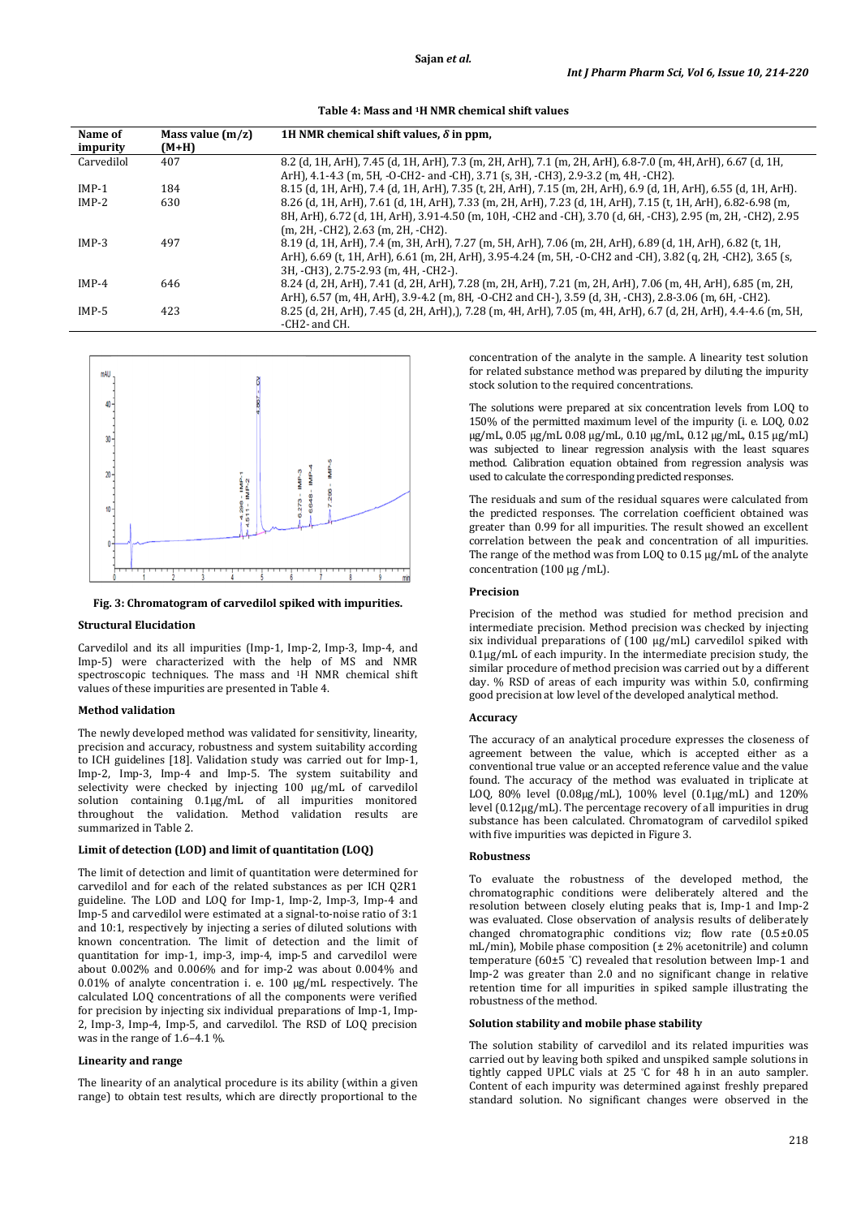**Table 4: Mass and 1H NMR chemical shift values**

| Name of<br>impurity | Mass value $(m/z)$<br>$(M+H)$ | 1H NMR chemical shift values, $\delta$ in ppm,                                                                  |
|---------------------|-------------------------------|-----------------------------------------------------------------------------------------------------------------|
|                     |                               |                                                                                                                 |
| Carvedilol          | 407                           | 8.2 (d, 1H, ArH), 7.45 (d, 1H, ArH), 7.3 (m, 2H, ArH), 7.1 (m, 2H, ArH), 6.8-7.0 (m, 4H, ArH), 6.67 (d, 1H,     |
|                     |                               | ArH), 4.1-4.3 (m, 5H, -O-CH2- and -CH), 3.71 (s, 3H, -CH3), 2.9-3.2 (m, 4H, -CH2).                              |
| $IMP-1$             | 184                           | 8.15 (d, 1H, ArH), 7.4 (d, 1H, ArH), 7.35 (t, 2H, ArH), 7.15 (m, 2H, ArH), 6.9 (d, 1H, ArH), 6.55 (d, 1H, ArH). |
| $IMP-2$             | 630                           | 8.26 (d, 1H, ArH), 7.61 (d, 1H, ArH), 7.33 (m, 2H, ArH), 7.23 (d, 1H, ArH), 7.15 (t, 1H, ArH), 6.82-6.98 (m,    |
|                     |                               | 8H, ArH), 6.72 (d, 1H, ArH), 3.91-4.50 (m, 10H, -CH2 and -CH), 3.70 (d, 6H, -CH3), 2.95 (m, 2H, -CH2), 2.95     |
|                     |                               | (m, 2H, -CH2), 2.63 (m, 2H, -CH2).                                                                              |
| $IMP-3$             | 497                           | 8.19 (d, 1H, ArH), 7.4 (m, 3H, ArH), 7.27 (m, 5H, ArH), 7.06 (m, 2H, ArH), 6.89 (d, 1H, ArH), 6.82 (t, 1H,      |
|                     |                               | ArH), 6.69 (t, 1H, ArH), 6.61 (m, 2H, ArH), 3.95-4.24 (m, 5H, -O-CH2 and -CH), 3.82 (q, 2H, -CH2), 3.65 (s,     |
|                     |                               | 3H, -CH3), 2.75-2.93 (m, 4H, -CH2-).                                                                            |
| $IMP-4$             | 646                           | 8.24 (d, 2H, ArH), 7.41 (d, 2H, ArH), 7.28 (m, 2H, ArH), 7.21 (m, 2H, ArH), 7.06 (m, 4H, ArH), 6.85 (m, 2H,     |
|                     |                               | ArH), 6.57 (m, 4H, ArH), 3.9-4.2 (m, 8H, -O-CH2 and CH-), 3.59 (d, 3H, -CH3), 2.8-3.06 (m, 6H, -CH2).           |
| $IMP-5$             | 423                           | 8.25 (d, 2H, ArH), 7.45 (d, 2H, ArH), 7.28 (m, 4H, ArH), 7.05 (m, 4H, ArH), 6.7 (d, 2H, ArH), 4.4-4.6 (m, 5H,   |
|                     |                               | -CH2- and CH.                                                                                                   |



**Fig. 3: Chromatogram of carvedilol spiked with impurities.**

# **Structural Elucidation**

Carvedilol and its all impurities (Imp-1, Imp-2, Imp-3, Imp-4, and Imp-5) were characterized with the help of MS and NMR spectroscopic techniques. The mass and <sup>1</sup>H NMR chemical shift values of these impurities are presented in Table 4.

#### **Method validation**

The newly developed method was validated for sensitivity, linearity, precision and accuracy, robustness and system suitability according to ICH guidelines [18]. Validation study was carried out for Imp-1, Imp-2, Imp-3, Imp-4 and Imp-5. The system suitability and selectivity were checked by injecting 100 µg/mL of carvedilol solution containing  $0.1\mu\text{g/mL}$  of all impurities monitored throughout the validation. Method validation results are summarized in Table 2.

# **Limit of detection (LOD) and limit of quantitation (LOQ)**

The limit of detection and limit of quantitation were determined for carvedilol and for each of the related substances as per ICH Q2R1 guideline. The LOD and LOQ for Imp-1, Imp-2, Imp-3, Imp-4 and Imp-5 and carvedilol were estimated at a signal-to-noise ratio of 3:1 and 10:1, respectively by injecting a series of diluted solutions with known concentration. The limit of detection and the limit of quantitation for imp-1, imp-3, imp-4, imp-5 and carvedilol were about 0.002% and 0.006% and for imp-2 was about 0.004% and 0.01% of analyte concentration i. e. 100 µg/mL respectively. The calculated LOQ concentrations of all the components were verified for precision by injecting six individual preparations of Imp-1, Imp-2, Imp-3, Imp-4, Imp-5, and carvedilol. The RSD of LOQ precision was in the range of 1.6–4.1 %.

#### **Linearity and range**

The linearity of an analytical procedure is its ability (within a given range) to obtain test results, which are directly proportional to the concentration of the analyte in the sample. A linearity test solution for related substance method was prepared by diluting the impurity stock solution to the required concentrations.

The solutions were prepared at six concentration levels from LOQ to 150% of the permitted maximum level of the impurity (i. e. LOQ, 0.02 µg/mL, 0.05 µg/mL 0.08 µg/mL, 0.10 µg/mL, 0.12 µg/mL, 0.15 µg/mL) was subjected to linear regression analysis with the least squares method. Calibration equation obtained from regression analysis was used to calculate the corresponding predicted responses.

The residuals and sum of the residual squares were calculated from the predicted responses. The correlation coefficient obtained was greater than 0.99 for all impurities. The result showed an excellent correlation between the peak and concentration of all impurities. The range of the method was from LOQ to 0.15 µg/mL of the analyte concentration (100 µg /mL).

### **Precision**

Precision of the method was studied for method precision and intermediate precision. Method precision was checked by injecting six individual preparations of (100 µg/mL) carvedilol spiked with 0.1µg/mL of each impurity. In the intermediate precision study, the similar procedure of method precision was carried out by a different day. % RSD of areas of each impurity was within 5.0, confirming good precision at low level of the developed analytical method.

#### **Accuracy**

The accuracy of an analytical procedure expresses the closeness of agreement between the value, which is accepted either as a conventional true value or an accepted reference value and the value found. The accuracy of the method was evaluated in triplicate at LOQ, 80% level (0.08µg/mL), 100% level (0.1µg/mL) and 120% level (0.12µg/mL). The percentage recovery of all impurities in drug substance has been calculated. Chromatogram of carvedilol spiked with five impurities was depicted in Figure 3.

#### **Robustness**

To evaluate the robustness of the developed method, the chromatographic conditions were deliberately altered and the resolution between closely eluting peaks that is, Imp-1 and Imp-2 was evaluated. Close observation of analysis results of deliberately changed chromatographic conditions viz; flow rate  $(0.5\pm0.05)$ mL/min), Mobile phase composition (± 2% acetonitrile) and column temperature (60±5 °C) revealed that resolution between Imp-1 and Imp-2 was greater than 2.0 and no significant change in relative retention time for all impurities in spiked sample illustrating the robustness of the method.

# **Solution stability and mobile phase stability**

The solution stability of carvedilol and its related impurities was carried out by leaving both spiked and unspiked sample solutions in tightly capped UPLC vials at 25 °C for 48 h in an auto sampler. Content of each impurity was determined against freshly prepared standard solution. No significant changes were observed in the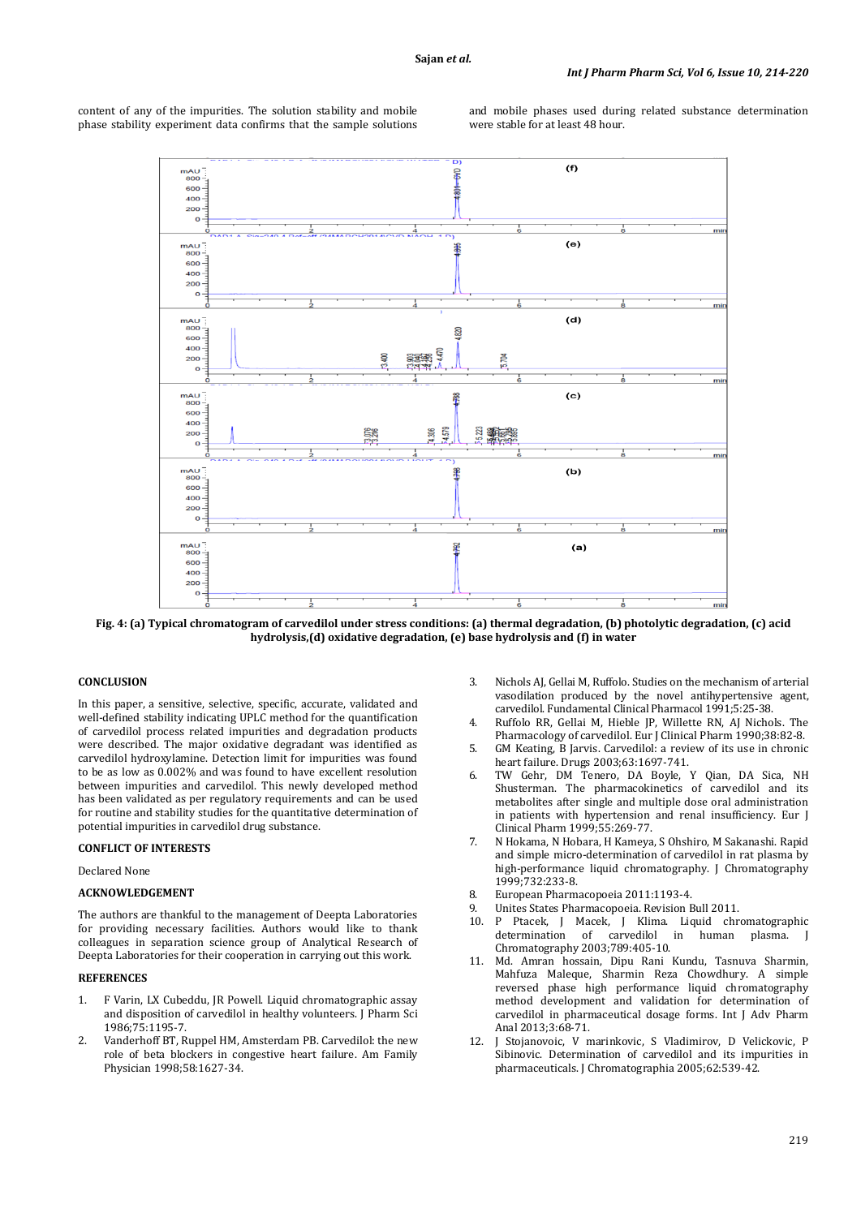content of any of the impurities. The solution stability and mobile phase stability experiment data confirms that the sample solutions and mobile phases used during related substance determination were stable for at least 48 hour.



**Fig. 4: (a) Typical chromatogram of carvedilol under stress conditions: (a) thermal degradation, (b) photolytic degradation, (c) acid hydrolysis,(d) oxidative degradation, (e) base hydrolysis and (f) in water**

# **CONCLUSION**

In this paper, a sensitive, selective, specific, accurate, validated and well-defined stability indicating UPLC method for the quantification of carvedilol process related impurities and degradation products were described. The major oxidative degradant was identified as carvedilol hydroxylamine. Detection limit for impurities was found to be as low as 0.002% and was found to have excellent resolution between impurities and carvedilol. This newly developed method has been validated as per regulatory requirements and can be used for routine and stability studies for the quantitative determination of potential impurities in carvedilol drug substance.

### **CONFLICT OF INTERESTS**

Declared None

### **ACKNOWLEDGEMENT**

The authors are thankful to the management of Deepta Laboratories for providing necessary facilities. Authors would like to thank colleagues in separation science group of Analytical Research of Deepta Laboratories for their cooperation in carrying out this work.

### **REFERENCES**

- 1. F Varin, LX Cubeddu, JR Powell. Liquid chromatographic assay and disposition of carvedilol in healthy volunteers. J Pharm Sci 1986;75:1195-7.
- 2. Vanderhoff BT, Ruppel HM, Amsterdam PB. Carvedilol: the new role of beta blockers in congestive heart failure. Am Family Physician 1998;58:1627-34.
- 3. Nichols AJ, Gellai M, Ruffolo. Studies on the mechanism of arterial vasodilation produced by the novel antihypertensive agent, carvedilol. Fundamental Clinical Pharmacol 1991;5:25-38.
- 4. Ruffolo RR, Gellai M, Hieble JP, Willette RN, AJ Nichols. The Pharmacology of carvedilol. Eur J Clinical Pharm 1990;38:82-8.
- 5. GM Keating, B Jarvis. Carvedilol: a review of its use in chronic heart failure. Drugs 2003;63:1697-741.
- 6. TW Gehr, DM Tenero, DA Boyle, Y Qian, DA Sica, NH Shusterman. The pharmacokinetics of carvedilol and its metabolites after single and multiple dose oral administration in patients with hypertension and renal insufficiency. Eur J Clinical Pharm 1999;55:269-77.
- 7. N Hokama, N Hobara, H Kameya, S Ohshiro, M Sakanashi. Rapid and simple micro-determination of carvedilol in rat plasma by high-performance liquid chromatography. J Chromatography  $1999.732.23.8$
- 8. European Pharmacopoeia 2011:1193-4.
- Unites States Pharmacopoeia. Revision Bull 2011.
- 10. P Ptacek, J Macek, J Klima. Liquid chromatographic determination of carvedilol in human plasma. I Chromatography 2003;789:405-10.
- 11. Md. Amran hossain, Dipu Rani Kundu, Tasnuva Sharmin, Mahfuza Maleque, Sharmin Reza Chowdhury. A simple reversed phase high performance liquid chromatography method development and validation for determination of carvedilol in pharmaceutical dosage forms. Int J Adv Pharm Anal 2013;3:68-71.
- 12. J Stojanovoic, V marinkovic, S Vladimirov, D Velickovic, P Sibinovic. Determination of carvedilol and its impurities in pharmaceuticals. J Chromatographia 2005;62:539-42.